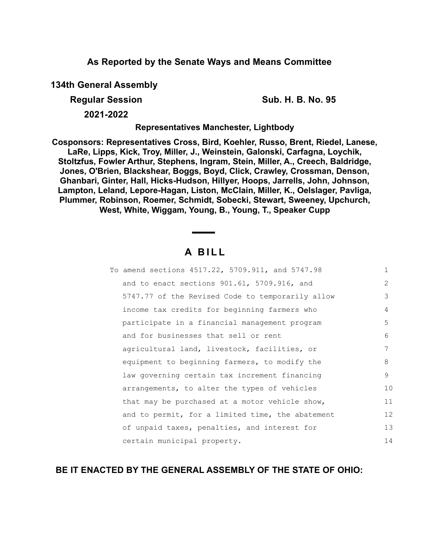## **As Reported by the Senate Ways and Means Committee**

**134th General Assembly**

**Regular Session Sub. H. B. No. 95**

**2021-2022**

**Representatives Manchester, Lightbody**

**Cosponsors: Representatives Cross, Bird, Koehler, Russo, Brent, Riedel, Lanese, LaRe, Lipps, Kick, Troy, Miller, J., Weinstein, Galonski, Carfagna, Loychik, Stoltzfus, Fowler Arthur, Stephens, Ingram, Stein, Miller, A., Creech, Baldridge, Jones, O'Brien, Blackshear, Boggs, Boyd, Click, Crawley, Crossman, Denson, Ghanbari, Ginter, Hall, Hicks-Hudson, Hillyer, Hoops, Jarrells, John, Johnson, Lampton, Leland, Lepore-Hagan, Liston, McClain, Miller, K., Oelslager, Pavliga, Plummer, Robinson, Roemer, Schmidt, Sobecki, Stewart, Sweeney, Upchurch, West, White, Wiggam, Young, B., Young, T., Speaker Cupp**

## **A B I L L**

| To amend sections 4517.22, 5709.911, and 5747.98 | $\mathbf{1}$   |
|--------------------------------------------------|----------------|
| and to enact sections 901.61, 5709.916, and      | $\overline{2}$ |
| 5747.77 of the Revised Code to temporarily allow | 3              |
| income tax credits for beginning farmers who     | 4              |
| participate in a financial management program    | 5              |
| and for businesses that sell or rent             | 6              |
| agricultural land, livestock, facilities, or     | 7              |
| equipment to beginning farmers, to modify the    | 8              |
| law governing certain tax increment financing    | 9              |
| arrangements, to alter the types of vehicles     | 10             |
| that may be purchased at a motor vehicle show,   | 11             |
| and to permit, for a limited time, the abatement | 12             |
| of unpaid taxes, penalties, and interest for     | 13             |
| certain municipal property.                      | 14             |

## **BE IT ENACTED BY THE GENERAL ASSEMBLY OF THE STATE OF OHIO:**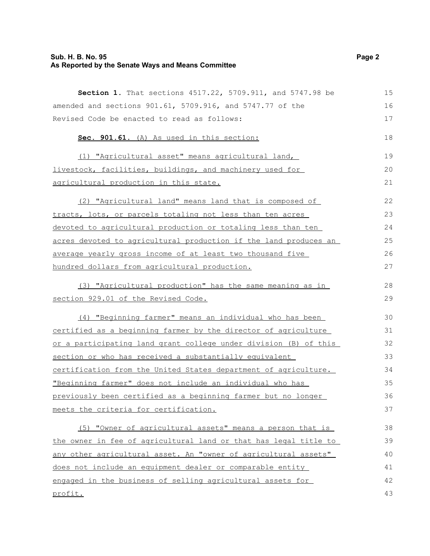## **Sub. H. B. No. 95 Page 2 As Reported by the Senate Ways and Means Committee**

| Section 1. That sections 4517.22, 5709.911, and 5747.98 be       | 15 |
|------------------------------------------------------------------|----|
| amended and sections 901.61, 5709.916, and 5747.77 of the        | 16 |
| Revised Code be enacted to read as follows:                      | 17 |
| Sec. 901.61. (A) As used in this section:                        | 18 |
| (1) "Agricultural asset" means agricultural land,                | 19 |
| livestock, facilities, buildings, and machinery used for         | 20 |
| agricultural production in this state.                           | 21 |
| (2) "Agricultural land" means land that is composed of           | 22 |
| tracts, lots, or parcels totaling not less than ten acres        | 23 |
| devoted to agricultural production or totaling less than ten     | 24 |
| acres devoted to agricultural production if the land produces an | 25 |
| average yearly gross income of at least two thousand five        | 26 |
| hundred dollars from agricultural production.                    | 27 |
| (3) "Agricultural production" has the same meaning as in         | 28 |
| section 929.01 of the Revised Code.                              | 29 |
| (4) "Beginning farmer" means an individual who has been          | 30 |
| certified as a beginning farmer by the director of agriculture   | 31 |
| or a participating land grant college under division (B) of this | 32 |
| section or who has received a substantially equivalent           | 33 |
| certification from the United States department of agriculture.  | 34 |
| "Beginning farmer" does not include an individual who has        | 35 |
| previously been certified as a beginning farmer but no longer    | 36 |
| meets the criteria for certification.                            | 37 |
| (5) "Owner of agricultural assets" means a person that is        | 38 |
| the owner in fee of agricultural land or that has legal title to | 39 |
| any other agricultural asset. An "owner of agricultural assets"  | 40 |
| does not include an equipment dealer or comparable entity        | 41 |
| engaged in the business of selling agricultural assets for       | 42 |
| profit.                                                          | 43 |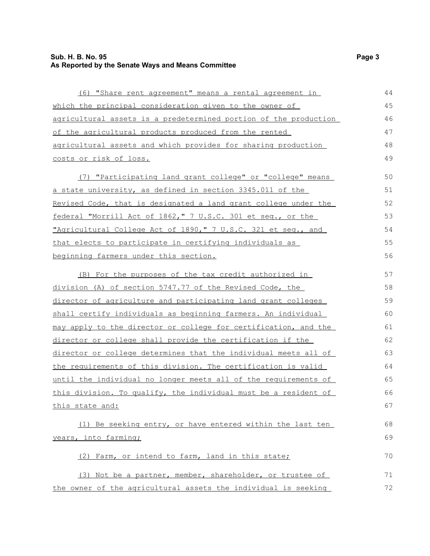## **Sub. H. B. No. 95 Page 3 As Reported by the Senate Ways and Means Committee**

| (6) "Share rent agreement" means a rental agreement in           | 44 |
|------------------------------------------------------------------|----|
| which the principal consideration given to the owner of          | 45 |
| agricultural assets is a predetermined portion of the production | 46 |
| of the agricultural products produced from the rented            | 47 |
| agricultural assets and which provides for sharing production    | 48 |
| costs or risk of loss.                                           | 49 |
| (7) "Participating land grant college" or "college" means        | 50 |
| a state university, as defined in section 3345.011 of the        | 51 |
| Revised Code, that is designated a land grant college under the  | 52 |
| federal "Morrill Act of 1862," 7 U.S.C. 301 et seq., or the      | 53 |
| "Agricultural College Act of 1890," 7 U.S.C. 321 et seg., and    | 54 |
| that elects to participate in certifying individuals as          | 55 |
| beginning farmers under this section.                            | 56 |
| (B) For the purposes of the tax credit authorized in             | 57 |
| division (A) of section 5747.77 of the Revised Code, the         | 58 |
| director of agriculture and participating land grant colleges    | 59 |
| shall certify individuals as beginning farmers. An individual    | 60 |
| may apply to the director or college for certification, and the  | 61 |
| director or college shall provide the certification if the       | 62 |
| director or college determines that the individual meets all of  | 63 |
| the requirements of this division. The certification is valid    | 64 |
| until the individual no longer meets all of the requirements of  | 65 |
| this division. To qualify, the individual must be a resident of  | 66 |
| this state and:                                                  | 67 |
| (1) Be seeking entry, or have entered within the last ten        | 68 |
| years, into farming;                                             | 69 |
| (2) Farm, or intend to farm, land in this state;                 | 70 |
| (3) Not be a partner, member, shareholder, or trustee of         | 71 |
| the owner of the agricultural assets the individual is seeking   | 72 |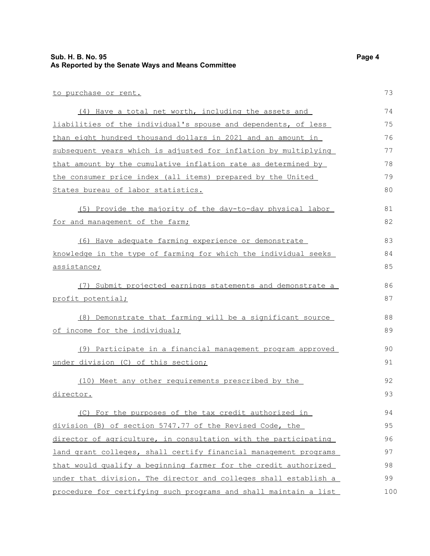#### **Sub. H. B. No. 95 Page 4 As Reported by the Senate Ways and Means Committee**

to purchase or rent. (4) Have a total net worth, including the assets and liabilities of the individual's spouse and dependents, of less than eight hundred thousand dollars in 2021 and an amount in subsequent years which is adjusted for inflation by multiplying that amount by the cumulative inflation rate as determined by the consumer price index (all items) prepared by the United States bureau of labor statistics. (5) Provide the majority of the day-to-day physical labor for and management of the farm; (6) Have adequate farming experience or demonstrate knowledge in the type of farming for which the individual seeks assistance; (7) Submit projected earnings statements and demonstrate a profit potential; (8) Demonstrate that farming will be a significant source of income for the individual; (9) Participate in a financial management program approved under division (C) of this section; (10) Meet any other requirements prescribed by the director. (C) For the purposes of the tax credit authorized in division (B) of section 5747.77 of the Revised Code, the director of agriculture, in consultation with the participating land grant colleges, shall certify financial management programs that would qualify a beginning farmer for the credit authorized under that division. The director and colleges shall establish a procedure for certifying such programs and shall maintain a list 73 74 75 76 77 78 79 80 81 82 83 84 85 86 87 88 89 90 91 92 93 94 95 96 97 98 99 100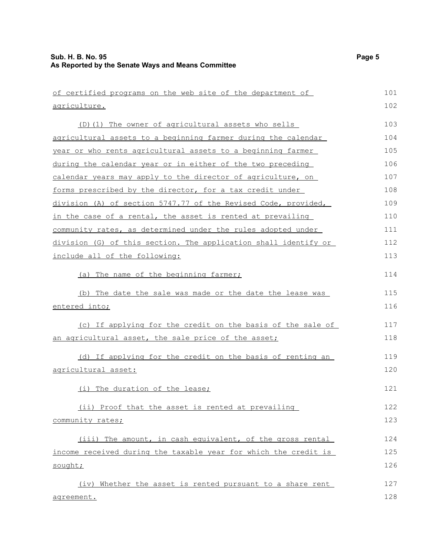| of certified programs on the web site of the department of      | 101 |
|-----------------------------------------------------------------|-----|
| <u>agriculture.</u>                                             | 102 |
| (D) (1) The owner of agricultural assets who sells              | 103 |
| agricultural assets to a beginning farmer during the calendar   | 104 |
| year or who rents agricultural assets to a beginning farmer     | 105 |
| during the calendar year or in either of the two preceding      | 106 |
| calendar years may apply to the director of agriculture, on     | 107 |
| forms prescribed by the director, for a tax credit under        | 108 |
| division (A) of section 5747.77 of the Revised Code, provided,  | 109 |
| in the case of a rental, the asset is rented at prevailing      | 110 |
| community rates, as determined under the rules adopted under    | 111 |
| division (G) of this section. The application shall identify or | 112 |
| include all of the following:                                   | 113 |
| (a) The name of the beginning farmer;                           | 114 |
| (b) The date the sale was made or the date the lease was        | 115 |
| entered into;                                                   | 116 |
| (c) If applying for the credit on the basis of the sale of      | 117 |
| an agricultural asset, the sale price of the asset;             | 118 |
| (d) If applying for the credit on the basis of renting an       | 119 |
| agricultural asset:                                             | 120 |
| (i) The duration of the lease;                                  | 121 |
| (ii) Proof that the asset is rented at prevailing               | 122 |
| community rates;                                                | 123 |
| (iii) The amount, in cash equivalent, of the gross rental       | 124 |
| income received during the taxable year for which the credit is | 125 |
| sought;                                                         | 126 |
| (iv) Whether the asset is rented pursuant to a share rent       | 127 |
| agreement.                                                      | 128 |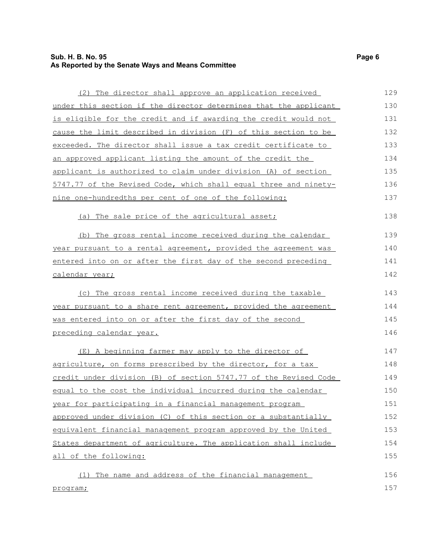## **Sub. H. B. No. 95 Page 6 As Reported by the Senate Ways and Means Committee**

| (2) The director shall approve an application received           | 129 |
|------------------------------------------------------------------|-----|
| under this section if the director determines that the applicant | 130 |
| is eligible for the credit and if awarding the credit would not  | 131 |
| cause the limit described in division (F) of this section to be  | 132 |
| exceeded. The director shall issue a tax credit certificate to   | 133 |
| an approved applicant listing the amount of the credit the       | 134 |
| applicant is authorized to claim under division (A) of section   | 135 |
| 5747.77 of the Revised Code, which shall equal three and ninety- | 136 |
| nine one-hundredths per cent of one of the following:            | 137 |
| (a) The sale price of the agricultural asset;                    | 138 |
| (b) The gross rental income received during the calendar         | 139 |
| year pursuant to a rental agreement, provided the agreement was  | 140 |
| entered into on or after the first day of the second preceding   | 141 |
| calendar year;                                                   | 142 |
| (c) The gross rental income received during the taxable          | 143 |
| year pursuant to a share rent agreement, provided the agreement  | 144 |
| was entered into on or after the first day of the second         | 145 |
| preceding calendar year.                                         | 146 |
| (E) A beginning farmer may apply to the director of              | 147 |
| agriculture, on forms prescribed by the director, for a tax      | 148 |
| credit under division (B) of section 5747.77 of the Revised Code | 149 |
| equal to the cost the individual incurred during the calendar    | 150 |
| year for participating in a financial management program         | 151 |
| approved under division (C) of this section or a substantially   | 152 |
| equivalent financial management program approved by the United   | 153 |
| States department of agriculture. The application shall include  | 154 |
| all of the following:                                            | 155 |
| The name and address of the financial management<br>(1)          | 156 |
| program;                                                         | 157 |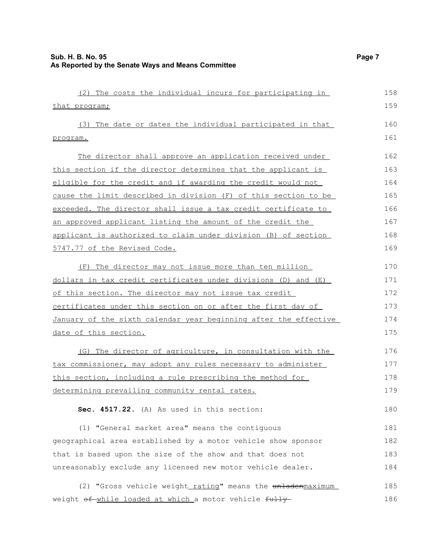| (2) The costs the individual incurs for participating in         | 158 |
|------------------------------------------------------------------|-----|
| that program;                                                    | 159 |
| (3) The date or dates the individual participated in that        | 160 |
| program.                                                         | 161 |
| The director shall approve an application received under         | 162 |
| this section if the director determines that the applicant is    | 163 |
| eligible for the credit and if awarding the credit would not     | 164 |
| cause the limit described in division (F) of this section to be  | 165 |
| exceeded. The director shall issue a tax credit certificate to   | 166 |
| an approved applicant listing the amount of the credit the       | 167 |
| applicant is authorized to claim under division (B) of section   | 168 |
| 5747.77 of the Revised Code.                                     | 169 |
| (F) The director may not issue more than ten million             | 170 |
| dollars in tax credit certificates under divisions (D) and (E)   | 171 |
| of this section. The director may not issue tax credit           | 172 |
| certificates under this section on or after the first day of     | 173 |
| January of the sixth calendar year beginning after the effective | 174 |
| date of this section.                                            | 175 |
| (G) The director of agriculture, in consultation with the        | 176 |
| tax commissioner, may adopt any rules necessary to administer    | 177 |
| this section, including a rule prescribing the method for        | 178 |
| determining prevailing community rental rates.                   | 179 |
| Sec. 4517.22. (A) As used in this section:                       | 180 |
| (1) "General market area" means the contiguous                   | 181 |
| geographical area established by a motor vehicle show sponsor    | 182 |
| that is based upon the size of the show and that does not        | 183 |
| unreasonably exclude any licensed new motor vehicle dealer.      | 184 |
| (2) "Gross vehicle weight rating" means the unladenmaximum       | 185 |
| weight of while loaded at which a motor vehicle fully            | 186 |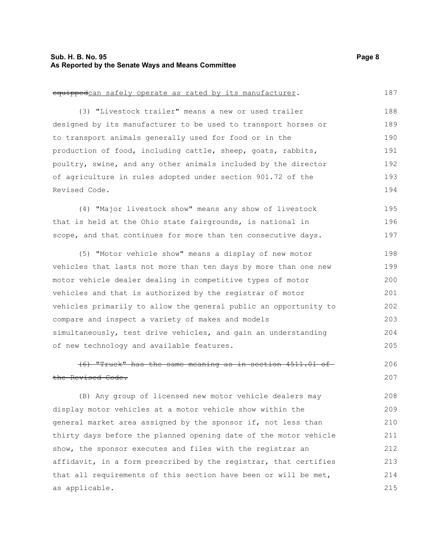#### **Sub. H. B. No. 95 Page 8 As Reported by the Senate Ways and Means Committee**

# equippedcan safely operate as rated by its manufacturer. (3) "Livestock trailer" means a new or used trailer designed by its manufacturer to be used to transport horses or

to transport animals generally used for food or in the production of food, including cattle, sheep, goats, rabbits, poultry, swine, and any other animals included by the director of agriculture in rules adopted under section 901.72 of the Revised Code. 189 190 191 192 193 194

(4) "Major livestock show" means any show of livestock that is held at the Ohio state fairgrounds, is national in scope, and that continues for more than ten consecutive days. 195 196 197

(5) "Motor vehicle show" means a display of new motor vehicles that lasts not more than ten days by more than one new motor vehicle dealer dealing in competitive types of motor vehicles and that is authorized by the registrar of motor vehicles primarily to allow the general public an opportunity to compare and inspect a variety of makes and models simultaneously, test drive vehicles, and gain an understanding of new technology and available features. 198 199 200 201 202 203 204 205

(6) "Truck" has the same meaning as in section 4511.01 of the Revised Code. 206 207

(B) Any group of licensed new motor vehicle dealers may display motor vehicles at a motor vehicle show within the general market area assigned by the sponsor if, not less than thirty days before the planned opening date of the motor vehicle show, the sponsor executes and files with the registrar an affidavit, in a form prescribed by the registrar, that certifies that all requirements of this section have been or will be met, as applicable. 208 209 210 211 212 213 214 215

187

188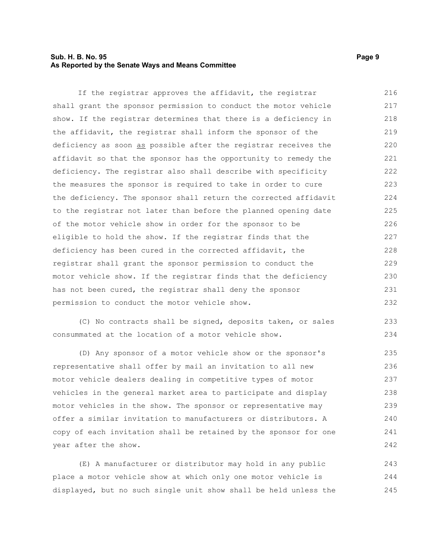#### **Sub. H. B. No. 95 Page 9 As Reported by the Senate Ways and Means Committee**

If the registrar approves the affidavit, the registrar shall grant the sponsor permission to conduct the motor vehicle show. If the registrar determines that there is a deficiency in the affidavit, the registrar shall inform the sponsor of the deficiency as soon as possible after the registrar receives the affidavit so that the sponsor has the opportunity to remedy the deficiency. The registrar also shall describe with specificity the measures the sponsor is required to take in order to cure the deficiency. The sponsor shall return the corrected affidavit to the registrar not later than before the planned opening date of the motor vehicle show in order for the sponsor to be eligible to hold the show. If the registrar finds that the deficiency has been cured in the corrected affidavit, the registrar shall grant the sponsor permission to conduct the motor vehicle show. If the registrar finds that the deficiency has not been cured, the registrar shall deny the sponsor permission to conduct the motor vehicle show. 216 217 218 219 220 221 222 223 224 225 226 227 228 229 230 231 232

(C) No contracts shall be signed, deposits taken, or sales consummated at the location of a motor vehicle show. 233 234

(D) Any sponsor of a motor vehicle show or the sponsor's representative shall offer by mail an invitation to all new motor vehicle dealers dealing in competitive types of motor vehicles in the general market area to participate and display motor vehicles in the show. The sponsor or representative may offer a similar invitation to manufacturers or distributors. A copy of each invitation shall be retained by the sponsor for one year after the show. 235 236 237 238 239 240 241 242

(E) A manufacturer or distributor may hold in any public place a motor vehicle show at which only one motor vehicle is displayed, but no such single unit show shall be held unless the 243 244 245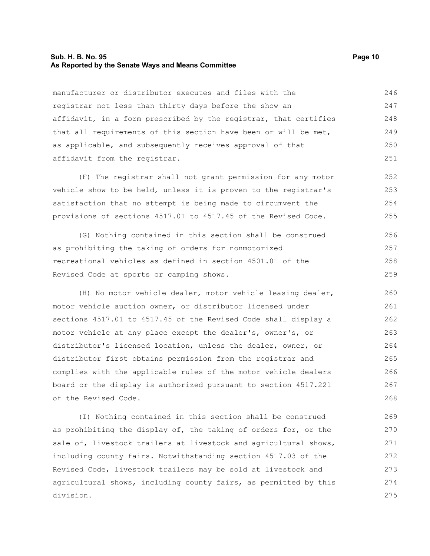#### **Sub. H. B. No. 95 Page 10 As Reported by the Senate Ways and Means Committee**

manufacturer or distributor executes and files with the registrar not less than thirty days before the show an affidavit, in a form prescribed by the registrar, that certifies that all requirements of this section have been or will be met, as applicable, and subsequently receives approval of that affidavit from the registrar. 246 247 248 249 250 251

(F) The registrar shall not grant permission for any motor vehicle show to be held, unless it is proven to the registrar's satisfaction that no attempt is being made to circumvent the provisions of sections 4517.01 to 4517.45 of the Revised Code. 252 253 254 255

(G) Nothing contained in this section shall be construed as prohibiting the taking of orders for nonmotorized recreational vehicles as defined in section 4501.01 of the Revised Code at sports or camping shows. 256 257 258 259

(H) No motor vehicle dealer, motor vehicle leasing dealer, motor vehicle auction owner, or distributor licensed under sections 4517.01 to 4517.45 of the Revised Code shall display a motor vehicle at any place except the dealer's, owner's, or distributor's licensed location, unless the dealer, owner, or distributor first obtains permission from the registrar and complies with the applicable rules of the motor vehicle dealers board or the display is authorized pursuant to section 4517.221 of the Revised Code. 260 261 262 263 264 265 266 267 268

(I) Nothing contained in this section shall be construed as prohibiting the display of, the taking of orders for, or the sale of, livestock trailers at livestock and agricultural shows, including county fairs. Notwithstanding section 4517.03 of the Revised Code, livestock trailers may be sold at livestock and agricultural shows, including county fairs, as permitted by this division. 269 270 271 272 273 274 275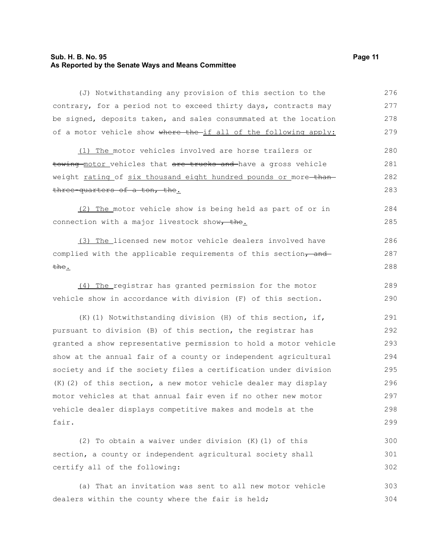#### **Sub. H. B. No. 95 Page 11 As Reported by the Senate Ways and Means Committee**

(J) Notwithstanding any provision of this section to the contrary, for a period not to exceed thirty days, contracts may be signed, deposits taken, and sales consummated at the location of a motor vehicle show where the if all of the following apply: (1) The motor vehicles involved are horse trailers or towing motor vehicles that are trucks and have a gross vehicle weight rating of six thousand eight hundred pounds or more-thanthree-quarters of a ton, the. (2) The motor vehicle show is being held as part of or in connection with a major livestock show, the. (3) The licensed new motor vehicle dealers involved have complied with the applicable requirements of this section, and the. (4) The registrar has granted permission for the motor vehicle show in accordance with division (F) of this section. (K)(1) Notwithstanding division (H) of this section, if, pursuant to division (B) of this section, the registrar has granted a show representative permission to hold a motor vehicle show at the annual fair of a county or independent agricultural society and if the society files a certification under division (K)(2) of this section, a new motor vehicle dealer may display motor vehicles at that annual fair even if no other new motor vehicle dealer displays competitive makes and models at the fair. (2) To obtain a waiver under division (K)(1) of this section, a county or independent agricultural society shall certify all of the following: (a) That an invitation was sent to all new motor vehicle dealers within the county where the fair is held; 276 277 278 279 280 281 282 283 284 285 286 287 288 289 290 291 292 293 294 295 296 297 298 299 300 301 302 303 304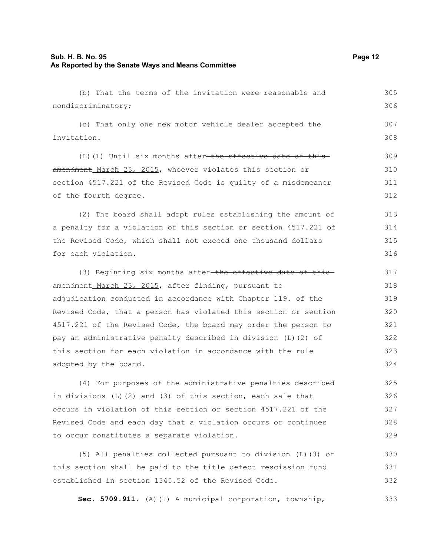## **Sub. H. B. No. 95 Page 12 As Reported by the Senate Ways and Means Committee**

| (b) That the terms of the invitation were reasonable and           | 305 |
|--------------------------------------------------------------------|-----|
| nondiscriminatory;                                                 | 306 |
| (c) That only one new motor vehicle dealer accepted the            | 307 |
| invitation.                                                        | 308 |
| (L)(1) Until six months after-the effective date of this-          | 309 |
| amendment March 23, 2015, whoever violates this section or         | 310 |
| section 4517.221 of the Revised Code is guilty of a misdemeanor    | 311 |
| of the fourth degree.                                              | 312 |
| (2) The board shall adopt rules establishing the amount of         | 313 |
| a penalty for a violation of this section or section 4517.221 of   | 314 |
| the Revised Code, which shall not exceed one thousand dollars      | 315 |
| for each violation.                                                | 316 |
| (3) Beginning six months after-the effective date of this-         | 317 |
| amendment March 23, 2015, after finding, pursuant to               | 318 |
| adjudication conducted in accordance with Chapter 119. of the      | 319 |
| Revised Code, that a person has violated this section or section   | 320 |
| 4517.221 of the Revised Code, the board may order the person to    | 321 |
| pay an administrative penalty described in division (L) (2) of     | 322 |
| this section for each violation in accordance with the rule        | 323 |
| adopted by the board.                                              | 324 |
| (4) For purposes of the administrative penalties described         | 325 |
| in divisions $(L)$ $(2)$ and $(3)$ of this section, each sale that | 326 |
| occurs in violation of this section or section 4517.221 of the     | 327 |
| Revised Code and each day that a violation occurs or continues     | 328 |
| to occur constitutes a separate violation.                         | 329 |
| (5) All penalties collected pursuant to division (L) (3) of        | 330 |
| this section shall be paid to the title defect rescission fund     | 331 |
| established in section 1345.52 of the Revised Code.                | 332 |

**Sec. 5709.911.** (A)(1) A municipal corporation, township, 333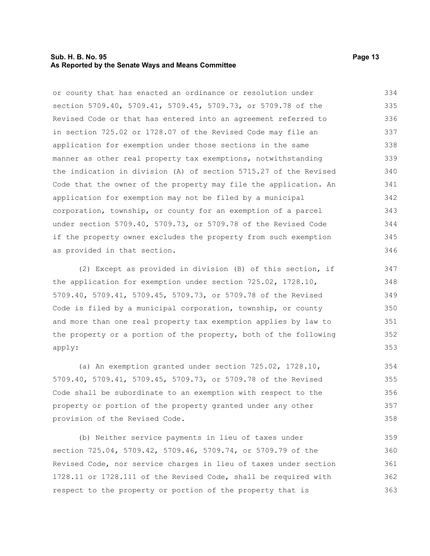#### **Sub. H. B. No. 95 Page 13 As Reported by the Senate Ways and Means Committee**

or county that has enacted an ordinance or resolution under section 5709.40, 5709.41, 5709.45, 5709.73, or 5709.78 of the Revised Code or that has entered into an agreement referred to in section 725.02 or 1728.07 of the Revised Code may file an application for exemption under those sections in the same manner as other real property tax exemptions, notwithstanding the indication in division (A) of section 5715.27 of the Revised Code that the owner of the property may file the application. An application for exemption may not be filed by a municipal corporation, township, or county for an exemption of a parcel under section 5709.40, 5709.73, or 5709.78 of the Revised Code if the property owner excludes the property from such exemption as provided in that section. 334 335 336 337 338 339 340 341 342 343 344 345 346

(2) Except as provided in division (B) of this section, if the application for exemption under section 725.02, 1728.10, 5709.40, 5709.41, 5709.45, 5709.73, or 5709.78 of the Revised Code is filed by a municipal corporation, township, or county and more than one real property tax exemption applies by law to the property or a portion of the property, both of the following apply:

(a) An exemption granted under section 725.02, 1728.10, 5709.40, 5709.41, 5709.45, 5709.73, or 5709.78 of the Revised Code shall be subordinate to an exemption with respect to the property or portion of the property granted under any other provision of the Revised Code. 354 355 356 357 358

(b) Neither service payments in lieu of taxes under section 725.04, 5709.42, 5709.46, 5709.74, or 5709.79 of the Revised Code, nor service charges in lieu of taxes under section 1728.11 or 1728.111 of the Revised Code, shall be required with respect to the property or portion of the property that is 359 360 361 362 363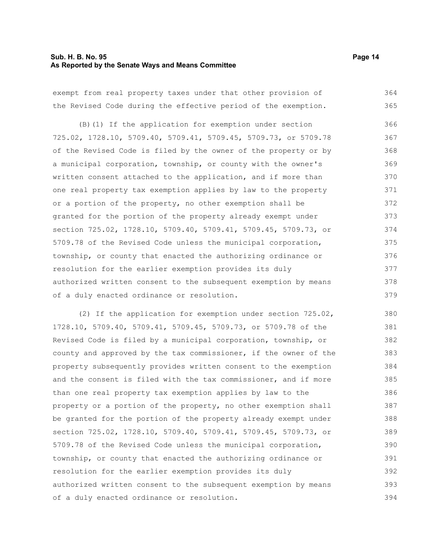#### **Sub. H. B. No. 95 Page 14 As Reported by the Senate Ways and Means Committee**

exempt from real property taxes under that other provision of the Revised Code during the effective period of the exemption. 364 365

(B)(1) If the application for exemption under section 725.02, 1728.10, 5709.40, 5709.41, 5709.45, 5709.73, or 5709.78 of the Revised Code is filed by the owner of the property or by a municipal corporation, township, or county with the owner's written consent attached to the application, and if more than one real property tax exemption applies by law to the property or a portion of the property, no other exemption shall be granted for the portion of the property already exempt under section 725.02, 1728.10, 5709.40, 5709.41, 5709.45, 5709.73, or 5709.78 of the Revised Code unless the municipal corporation, township, or county that enacted the authorizing ordinance or resolution for the earlier exemption provides its duly authorized written consent to the subsequent exemption by means of a duly enacted ordinance or resolution. 366 367 368 369 370 371 372 373 374 375 376 377 378 379

(2) If the application for exemption under section 725.02, 1728.10, 5709.40, 5709.41, 5709.45, 5709.73, or 5709.78 of the Revised Code is filed by a municipal corporation, township, or county and approved by the tax commissioner, if the owner of the property subsequently provides written consent to the exemption and the consent is filed with the tax commissioner, and if more than one real property tax exemption applies by law to the property or a portion of the property, no other exemption shall be granted for the portion of the property already exempt under section 725.02, 1728.10, 5709.40, 5709.41, 5709.45, 5709.73, or 5709.78 of the Revised Code unless the municipal corporation, township, or county that enacted the authorizing ordinance or resolution for the earlier exemption provides its duly authorized written consent to the subsequent exemption by means of a duly enacted ordinance or resolution. 380 381 382 383 384 385 386 387 388 389 390 391 392 393 394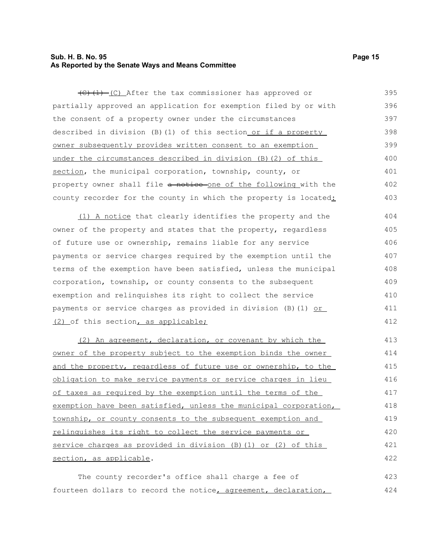#### **Sub. H. B. No. 95 Page 15 As Reported by the Senate Ways and Means Committee**

 $(C)$  (1) (C) After the tax commissioner has approved or partially approved an application for exemption filed by or with the consent of a property owner under the circumstances described in division (B)(1) of this section or if a property owner subsequently provides written consent to an exemption under the circumstances described in division (B)(2) of this section, the municipal corporation, township, county, or property owner shall file a notice one of the following with the county recorder for the county in which the property is located: 395 396 397 398 399 400 401 402 403

(1) A notice that clearly identifies the property and the owner of the property and states that the property, regardless of future use or ownership, remains liable for any service payments or service charges required by the exemption until the terms of the exemption have been satisfied, unless the municipal corporation, township, or county consents to the subsequent exemption and relinquishes its right to collect the service payments or service charges as provided in division (B)(1) or (2) of this section, as applicable; 404 405 406 407 408 409 410 411 412

(2) An agreement, declaration, or covenant by which the owner of the property subject to the exemption binds the owner and the property, regardless of future use or ownership, to the obligation to make service payments or service charges in lieu of taxes as required by the exemption until the terms of the exemption have been satisfied, unless the municipal corporation, township, or county consents to the subsequent exemption and relinquishes its right to collect the service payments or service charges as provided in division (B)(1) or (2) of this section, as applicable. 413 414 415 416 417 418 419 420 421 422

The county recorder's office shall charge a fee of fourteen dollars to record the notice, agreement, declaration, 423 424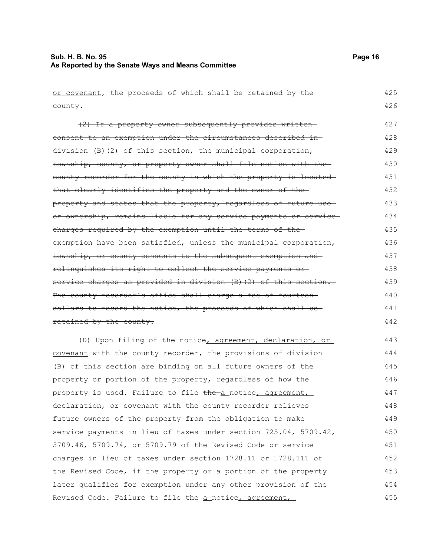| or covenant, the proceeds of which shall be retained by the      | 425 |
|------------------------------------------------------------------|-----|
| county.                                                          | 426 |
| (2) If a property owner subsequently provides written-           | 427 |
| consent to an exemption under the circumstances described in-    | 428 |
| division (B)(2) of this section, the municipal corporation,      | 429 |
| township, county, or property owner shall file notice with the   | 430 |
| county recorder for the county in which the property is located  | 431 |
| that clearly identifies the property and the owner of the-       | 432 |
| property and states that the property, regardless of future use- | 433 |
| or ownership, remains liable for any service payments or service | 434 |
| charges required by the exemption until the terms of the-        | 435 |
| exemption have been satisfied, unless the municipal corporation, | 436 |
| township, or county consents to the subsequent exemption and     | 437 |
| relinquishes its right to collect the service payments or-       | 438 |
| service charges as provided in division (B) (2) of this section. | 439 |
| The county recorder's office shall charge a fee of fourteen      | 440 |
| dollars to record the notice, the proceeds of which shall be-    | 441 |
| retained by the county.                                          | 442 |
| (D) Upon filing of the notice, agreement, declaration, or        | 443 |
| covenant with the county recorder, the provisions of division    | 444 |
| (B) of this section are binding on all future owners of the      | 445 |
| property or portion of the property, regardless of how the       | 446 |
| property is used. Failure to file the a_notice, agreement,       | 447 |
| declaration, or covenant with the county recorder relieves       | 448 |
| future owners of the property from the obligation to make        | 449 |
| service payments in lieu of taxes under section 725.04, 5709.42, | 450 |
| 5709.46, 5709.74, or 5709.79 of the Revised Code or service      | 451 |
| charges in lieu of taxes under section 1728.11 or 1728.111 of    | 452 |
| the Revised Code, if the property or a portion of the property   | 453 |
| later qualifies for exemption under any other provision of the   | 454 |
| Revised Code. Failure to file the a notice, agreement,           | 455 |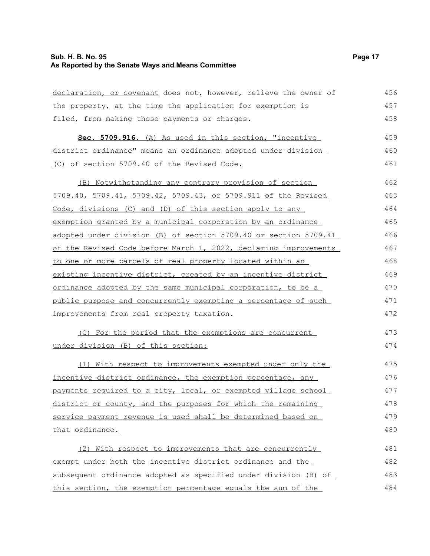#### **Sub. H. B. No. 95 Page 17 As Reported by the Senate Ways and Means Committee**

| declaration, or covenant does not, however, relieve the owner of | 456 |
|------------------------------------------------------------------|-----|
| the property, at the time the application for exemption is       | 457 |
| filed, from making those payments or charges.                    | 458 |
| Sec. 5709.916. (A) As used in this section, "incentive           | 459 |
| district ordinance" means an ordinance adopted under division    | 460 |
| (C) of section 5709.40 of the Revised Code.                      | 461 |
| (B) Notwithstanding any contrary provision of section            | 462 |
| 5709.40, 5709.41, 5709.42, 5709.43, or 5709.911 of the Revised   | 463 |
| Code, divisions (C) and (D) of this section apply to any         | 464 |
| exemption granted by a municipal corporation by an ordinance     | 465 |
| adopted under division (B) of section 5709.40 or section 5709.41 | 466 |
| of the Revised Code before March 1, 2022, declaring improvements | 467 |
| to one or more parcels of real property located within an        | 468 |
| existing incentive district, created by an incentive district    | 469 |
| ordinance adopted by the same municipal corporation, to be a     | 470 |
| public purpose and concurrently exempting a percentage of such   | 471 |
| improvements from real property taxation.                        | 472 |
| (C) For the period that the exemptions are concurrent            | 473 |
| under division (B) of this section:                              | 474 |
| (1) With respect to improvements exempted under only the         | 475 |
| incentive district ordinance, the exemption percentage, any      | 476 |
| payments required to a city, local, or exempted village school   | 477 |
| district or county, and the purposes for which the remaining     | 478 |
| service payment revenue is used shall be determined based on     | 479 |
| <u>that ordinance.</u>                                           | 480 |
| (2) With respect to improvements that are concurrently           | 481 |

(2) With respect to improvements that are concurrently exempt under both the incentive district ordinance and the subsequent ordinance adopted as specified under division (B) of this section, the exemption percentage equals the sum of the 482 483 484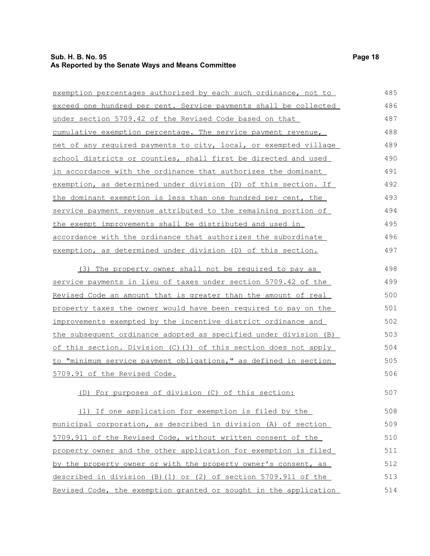## **Sub. H. B. No. 95 Page 18 As Reported by the Senate Ways and Means Committee**

| exemption percentages authorized by each such ordinance, not to       | 485 |
|-----------------------------------------------------------------------|-----|
| exceed one hundred per cent. Service payments shall be collected      | 486 |
| <u>under section 5709.42 of the Revised Code based on that</u>        | 487 |
| cumulative exemption percentage. The service payment revenue,         | 488 |
| net of any required payments to city, local, or exempted village      | 489 |
| school districts or counties, shall first be directed and used        | 490 |
| in accordance with the ordinance that authorizes the dominant         | 491 |
| exemption, as determined under division (D) of this section. If       | 492 |
| the dominant exemption is less than one hundred per cent, the         | 493 |
| service payment revenue attributed to the remaining portion of        | 494 |
| <u>the exempt improvements shall be distributed and used in</u>       | 495 |
| accordance with the ordinance that authorizes the subordinate         | 496 |
| exemption, as determined under division (D) of this section.          | 497 |
|                                                                       | 498 |
| (3) The property owner shall not be required to pay as                | 499 |
| service payments in lieu of taxes under section 5709.42 of the        |     |
| <u>Revised Code an amount that is greater than the amount of real</u> | 500 |
| property taxes the owner would have been required to pay on the       | 501 |
| improvements exempted by the incentive district ordinance and         | 502 |
| the subsequent ordinance adopted as specified under division (B)      | 503 |
| of this section. Division (C) (3) of this section does not apply      | 504 |
| to "minimum service payment obligations," as defined in section       | 505 |
| 5709.91 of the Revised Code.                                          | 506 |
| (D) For purposes of division (C) of this section:                     | 507 |
| (1) If one application for exemption is filed by the                  | 508 |
| municipal corporation, as described in division (A) of section        | 509 |
| 5709.911 of the Revised Code, without written consent of the          | 510 |
| property owner and the other application for exemption is filed       | 511 |
| by the property owner or with the property owner's consent, as        | 512 |
| described in division (B) (1) or (2) of section 5709.911 of the       | 513 |
| Revised Code, the exemption granted or sought in the application      | 514 |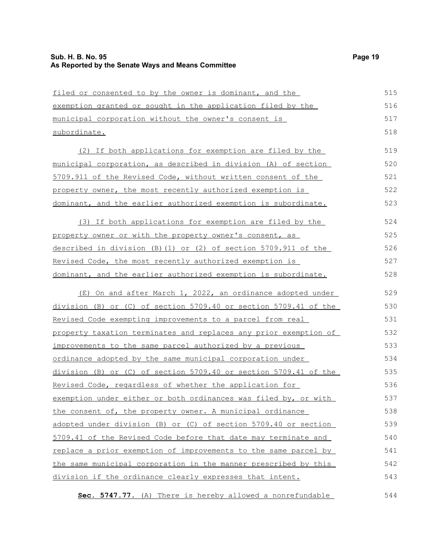filed or consented to by the owner is dominant, and the exemption granted or sought in the application filed by the municipal corporation without the owner's consent is subordinate. (2) If both applications for exemption are filed by the municipal corporation, as described in division (A) of section 5709.911 of the Revised Code, without written consent of the property owner, the most recently authorized exemption is dominant, and the earlier authorized exemption is subordinate. (3) If both applications for exemption are filed by the property owner or with the property owner's consent, as described in division (B)(1) or (2) of section 5709.911 of the Revised Code, the most recently authorized exemption is dominant, and the earlier authorized exemption is subordinate. (E) On and after March 1, 2022, an ordinance adopted under division (B) or (C) of section 5709.40 or section 5709.41 of the Revised Code exempting improvements to a parcel from real property taxation terminates and replaces any prior exemption of improvements to the same parcel authorized by a previous ordinance adopted by the same municipal corporation under division (B) or (C) of section 5709.40 or section 5709.41 of the Revised Code, regardless of whether the application for exemption under either or both ordinances was filed by, or with the consent of, the property owner. A municipal ordinance adopted under division (B) or (C) of section 5709.40 or section 5709.41 of the Revised Code before that date may terminate and replace a prior exemption of improvements to the same parcel by the same municipal corporation in the manner prescribed by this division if the ordinance clearly expresses that intent. 515 516 517 518 519 520 521 522 523 524 525 526 527 528 529 530 531 532 533 534 535 536 537 538 539 540 541 542 543

 **Sec. 5747.77.** (A) There is hereby allowed a nonrefundable 544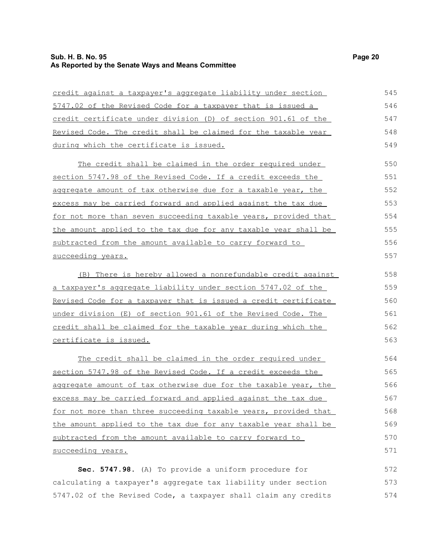## **Sub. H. B. No. 95 Page 20 As Reported by the Senate Ways and Means Committee**

| credit against a taxpayer's aggregate liability under section   | 545 |
|-----------------------------------------------------------------|-----|
| 5747.02 of the Revised Code for a taxpayer that is issued a     | 546 |
| credit certificate under division (D) of section 901.61 of the  | 547 |
| Revised Code. The credit shall be claimed for the taxable year  | 548 |
| during which the certificate is issued.                         | 549 |
| The credit shall be claimed in the order required under         | 550 |
| section 5747.98 of the Revised Code. If a credit exceeds the    | 551 |
| aggregate amount of tax otherwise due for a taxable year, the   | 552 |
| excess may be carried forward and applied against the tax due   | 553 |
| for not more than seven succeeding taxable years, provided that | 554 |
| the amount applied to the tax due for any taxable year shall be | 555 |
| subtracted from the amount available to carry forward to        | 556 |
| succeeding years.                                               | 557 |
| (B) There is hereby allowed a nonrefundable credit against      | 558 |
| a taxpayer's aggregate liability under section 5747.02 of the   | 559 |
| Revised Code for a taxpayer that is issued a credit certificate | 560 |
| under division (E) of section 901.61 of the Revised Code. The   | 561 |
| credit shall be claimed for the taxable year during which the   | 562 |
| certificate is issued.                                          | 563 |
| The credit shall be claimed in the order required under         | 564 |
| section 5747.98 of the Revised Code. If a credit exceeds the    | 565 |
| aggregate amount of tax otherwise due for the taxable year, the | 566 |
| excess may be carried forward and applied against the tax due   | 567 |
| for not more than three succeeding taxable years, provided that | 568 |
| the amount applied to the tax due for any taxable year shall be | 569 |
| subtracted from the amount available to carry forward to        | 570 |
| succeeding years.                                               | 571 |
| Sec. 5747.98. (A) To provide a uniform procedure for            | 572 |
| calculating a taxpayer's aggregate tax liability under section  | 573 |

5747.02 of the Revised Code, a taxpayer shall claim any credits 574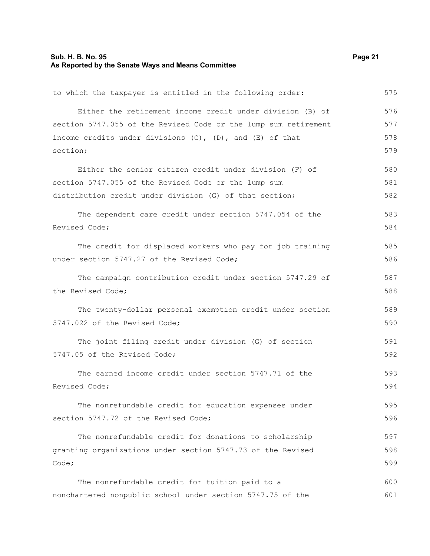#### **Sub. H. B. No. 95 Page 21 As Reported by the Senate Ways and Means Committee**

to which the taxpayer is entitled in the following order: Either the retirement income credit under division (B) of section 5747.055 of the Revised Code or the lump sum retirement income credits under divisions (C), (D), and (E) of that section; Either the senior citizen credit under division (F) of section 5747.055 of the Revised Code or the lump sum distribution credit under division (G) of that section; The dependent care credit under section 5747.054 of the Revised Code; The credit for displaced workers who pay for job training under section 5747.27 of the Revised Code; The campaign contribution credit under section 5747.29 of the Revised Code; The twenty-dollar personal exemption credit under section 5747.022 of the Revised Code; The joint filing credit under division (G) of section 5747.05 of the Revised Code; The earned income credit under section 5747.71 of the Revised Code; The nonrefundable credit for education expenses under section 5747.72 of the Revised Code; The nonrefundable credit for donations to scholarship granting organizations under section 5747.73 of the Revised Code; The nonrefundable credit for tuition paid to a nonchartered nonpublic school under section 5747.75 of the 575 576 577 578 579 580 581 582 583 584 585 586 587 588 589 590 591 592 593 594 595 596 597 598 599 600 601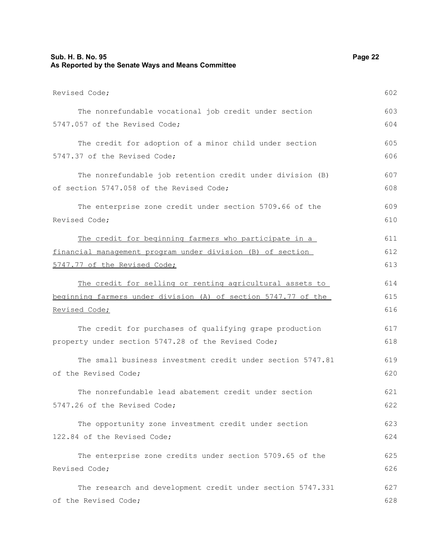| Sub. H. B. No. 95<br>As Reported by the Senate Ways and Means Committee |     |
|-------------------------------------------------------------------------|-----|
| Revised Code;                                                           | 602 |
| The nonrefundable vocational job credit under section                   | 603 |
| 5747.057 of the Revised Code;                                           | 604 |
| The credit for adoption of a minor child under section                  | 605 |
| 5747.37 of the Revised Code;                                            | 606 |
| The nonrefundable job retention credit under division (B)               | 607 |
| of section 5747.058 of the Revised Code;                                | 608 |
| The enterprise zone credit under section 5709.66 of the                 | 609 |
| Revised Code;                                                           | 610 |
| The credit for beginning farmers who participate in a                   | 611 |
| financial management program under division (B) of section              | 612 |
| 5747.77 of the Revised Code;                                            | 613 |
| The credit for selling or renting agricultural assets to                | 614 |
| beginning farmers under division (A) of section 5747.77 of the          | 615 |
| Revised Code;                                                           | 616 |
| The credit for purchases of qualifying grape production                 | 617 |
| property under section 5747.28 of the Revised Code;                     | 618 |
| The small business investment credit under section 5747.81              | 619 |
| of the Revised Code;                                                    | 620 |
| The nonrefundable lead abatement credit under section                   | 621 |
| 5747.26 of the Revised Code;                                            | 622 |
| The opportunity zone investment credit under section                    | 623 |
| 122.84 of the Revised Code;                                             | 624 |
| The enterprise zone credits under section 5709.65 of the                | 625 |
| Revised Code;                                                           | 626 |
| The research and development credit under section 5747.331              | 627 |
| of the Revised Code;                                                    | 628 |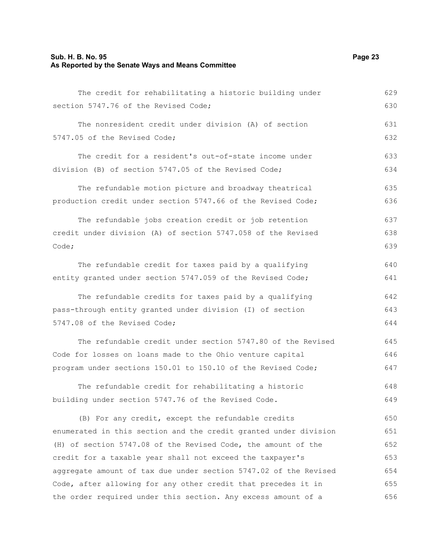#### **Sub. H. B. No. 95 Page 23 As Reported by the Senate Ways and Means Committee**

The credit for rehabilitating a historic building under section 5747.76 of the Revised Code; The nonresident credit under division (A) of section 5747.05 of the Revised Code; The credit for a resident's out-of-state income under division (B) of section 5747.05 of the Revised Code; The refundable motion picture and broadway theatrical production credit under section 5747.66 of the Revised Code; The refundable jobs creation credit or job retention credit under division (A) of section 5747.058 of the Revised Code; The refundable credit for taxes paid by a qualifying entity granted under section 5747.059 of the Revised Code; The refundable credits for taxes paid by a qualifying pass-through entity granted under division (I) of section 5747.08 of the Revised Code; The refundable credit under section 5747.80 of the Revised Code for losses on loans made to the Ohio venture capital program under sections 150.01 to 150.10 of the Revised Code; 629 630 631 632 633 634 635 636 637 638 639 640 641 642 643 644 645 646 647

The refundable credit for rehabilitating a historic building under section 5747.76 of the Revised Code. 648 649

(B) For any credit, except the refundable credits enumerated in this section and the credit granted under division (H) of section 5747.08 of the Revised Code, the amount of the credit for a taxable year shall not exceed the taxpayer's aggregate amount of tax due under section 5747.02 of the Revised Code, after allowing for any other credit that precedes it in the order required under this section. Any excess amount of a 650 651 652 653 654 655 656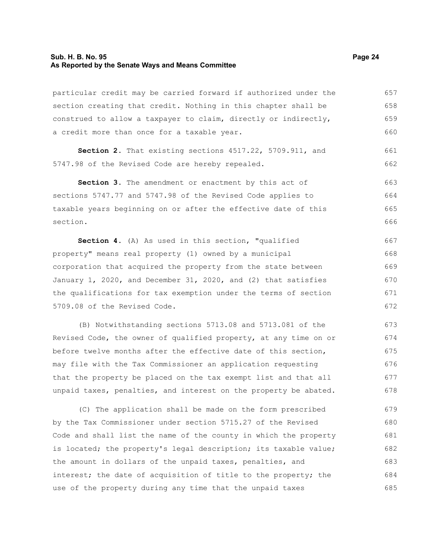#### **Sub. H. B. No. 95 Page 24 As Reported by the Senate Ways and Means Committee**

particular credit may be carried forward if authorized under the section creating that credit. Nothing in this chapter shall be construed to allow a taxpayer to claim, directly or indirectly, a credit more than once for a taxable year. 657 658 659 660

**Section 2.** That existing sections 4517.22, 5709.911, and 5747.98 of the Revised Code are hereby repealed.

Section 3. The amendment or enactment by this act of sections 5747.77 and 5747.98 of the Revised Code applies to taxable years beginning on or after the effective date of this section. 663 664 665 666

**Section 4.** (A) As used in this section, "qualified property" means real property (1) owned by a municipal corporation that acquired the property from the state between January 1, 2020, and December 31, 2020, and (2) that satisfies the qualifications for tax exemption under the terms of section 5709.08 of the Revised Code. 667 668 669 670 671 672

(B) Notwithstanding sections 5713.08 and 5713.081 of the Revised Code, the owner of qualified property, at any time on or before twelve months after the effective date of this section, may file with the Tax Commissioner an application requesting that the property be placed on the tax exempt list and that all unpaid taxes, penalties, and interest on the property be abated. 673 674 675 676 677 678

(C) The application shall be made on the form prescribed by the Tax Commissioner under section 5715.27 of the Revised Code and shall list the name of the county in which the property is located; the property's legal description; its taxable value; the amount in dollars of the unpaid taxes, penalties, and interest; the date of acquisition of title to the property; the use of the property during any time that the unpaid taxes 679 680 681 682 683 684 685

661 662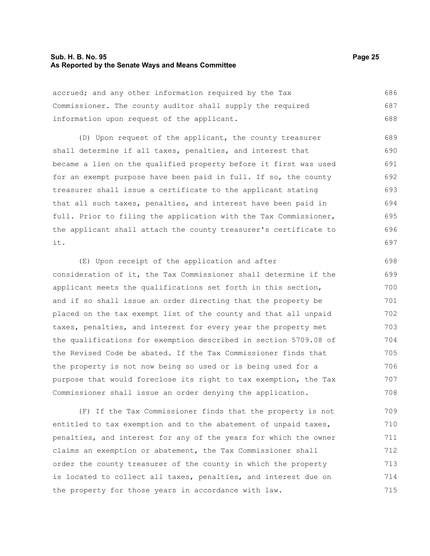#### **Sub. H. B. No. 95 Page 25 As Reported by the Senate Ways and Means Committee**

accrued; and any other information required by the Tax Commissioner. The county auditor shall supply the required information upon request of the applicant. 686 687 688

(D) Upon request of the applicant, the county treasurer shall determine if all taxes, penalties, and interest that became a lien on the qualified property before it first was used for an exempt purpose have been paid in full. If so, the county treasurer shall issue a certificate to the applicant stating that all such taxes, penalties, and interest have been paid in full. Prior to filing the application with the Tax Commissioner, the applicant shall attach the county treasurer's certificate to it. 689 690 691 692 693 694 695 696 697

(E) Upon receipt of the application and after consideration of it, the Tax Commissioner shall determine if the applicant meets the qualifications set forth in this section, and if so shall issue an order directing that the property be placed on the tax exempt list of the county and that all unpaid taxes, penalties, and interest for every year the property met the qualifications for exemption described in section 5709.08 of the Revised Code be abated. If the Tax Commissioner finds that the property is not now being so used or is being used for a purpose that would foreclose its right to tax exemption, the Tax Commissioner shall issue an order denying the application. 698 699 700 701 702 703 704 705 706 707 708

(F) If the Tax Commissioner finds that the property is not entitled to tax exemption and to the abatement of unpaid taxes, penalties, and interest for any of the years for which the owner claims an exemption or abatement, the Tax Commissioner shall order the county treasurer of the county in which the property is located to collect all taxes, penalties, and interest due on the property for those years in accordance with law. 709 710 711 712 713 714 715